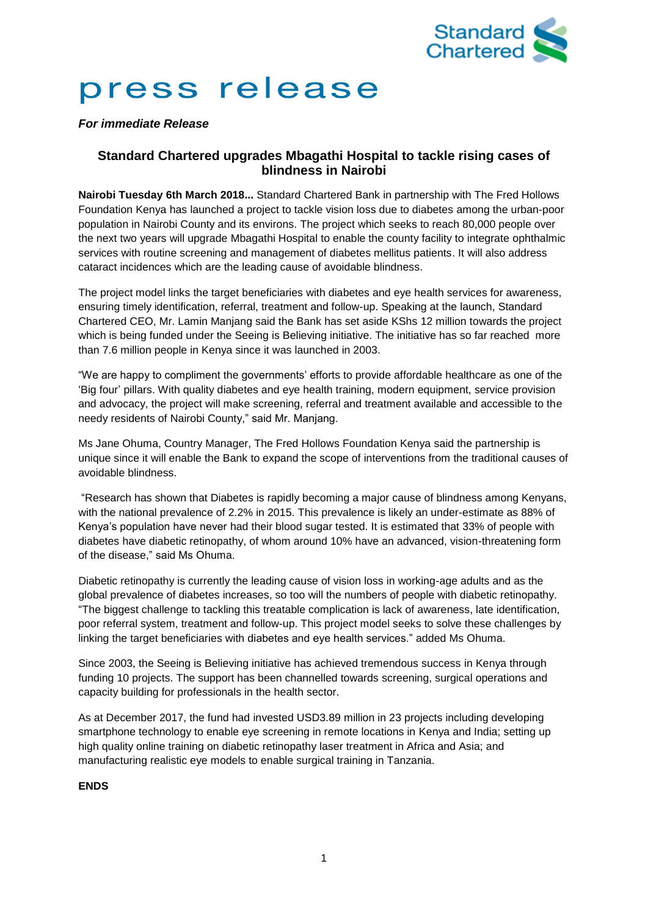

## press release

*For immediate Release*

## **Standard Chartered upgrades Mbagathi Hospital to tackle rising cases of blindness in Nairobi**

**Nairobi Tuesday 6th March 2018...** Standard Chartered Bank in partnership with The Fred Hollows Foundation Kenya has launched a project to tackle vision loss due to diabetes among the urban-poor population in Nairobi County and its environs. The project which seeks to reach 80,000 people over the next two years will upgrade Mbagathi Hospital to enable the county facility to integrate ophthalmic services with routine screening and management of diabetes mellitus patients. It will also address cataract incidences which are the leading cause of avoidable blindness.

The project model links the target beneficiaries with diabetes and eye health services for awareness, ensuring timely identification, referral, treatment and follow-up. Speaking at the launch, Standard Chartered CEO, Mr. Lamin Manjang said the Bank has set aside KShs 12 million towards the project which is being funded under the Seeing is Believing initiative. The initiative has so far reached more than 7.6 million people in Kenya since it was launched in 2003.

"We are happy to compliment the governments' efforts to provide affordable healthcare as one of the 'Big four' pillars. With quality diabetes and eye health training, modern equipment, service provision and advocacy, the project will make screening, referral and treatment available and accessible to the needy residents of Nairobi County," said Mr. Manjang.

Ms Jane Ohuma, Country Manager, The Fred Hollows Foundation Kenya said the partnership is unique since it will enable the Bank to expand the scope of interventions from the traditional causes of avoidable blindness.

"Research has shown that Diabetes is rapidly becoming a major cause of blindness among Kenyans, with the national prevalence of 2.2% in 2015. This prevalence is likely an under-estimate as 88% of Kenya's population have never had their blood sugar tested. It is estimated that 33% of people with diabetes have diabetic retinopathy, of whom around 10% have an advanced, vision-threatening form of the disease," said Ms Ohuma.

Diabetic retinopathy is currently the leading cause of vision loss in working-age adults and as the global prevalence of diabetes increases, so too will the numbers of people with diabetic retinopathy. "The biggest challenge to tackling this treatable complication is lack of awareness, late identification, poor referral system, treatment and follow-up. This project model seeks to solve these challenges by linking the target beneficiaries with diabetes and eye health services." added Ms Ohuma.

Since 2003, the Seeing is Believing initiative has achieved tremendous success in Kenya through funding 10 projects. The support has been channelled towards screening, surgical operations and capacity building for professionals in the health sector.

As at December 2017, the fund had invested USD3.89 million in 23 projects including developing smartphone technology to enable eye screening in remote locations in Kenya and India; setting up high quality online training on diabetic retinopathy laser treatment in Africa and Asia; and manufacturing realistic eye models to enable surgical training in Tanzania.

**ENDS**